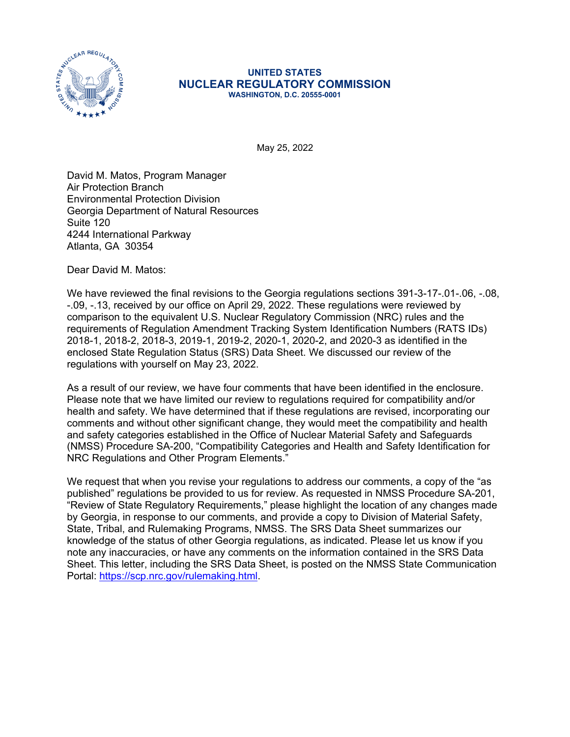

## **UNITED STATES NUCLEAR REGULATORY COMMISSION WASHINGTON, D.C. 20555-0001**

May 25, 2022

David M. Matos, Program Manager Air Protection Branch Environmental Protection Division Georgia Department of Natural Resources Suite 120 4244 International Parkway Atlanta, GA 30354

Dear David M. Matos:

We have reviewed the final revisions to the Georgia regulations sections 391-3-17-.01-.06, -.08, -.09, -.13, received by our office on April 29, 2022. These regulations were reviewed by comparison to the equivalent U.S. Nuclear Regulatory Commission (NRC) rules and the requirements of Regulation Amendment Tracking System Identification Numbers (RATS IDs) 2018-1, 2018-2, 2018-3, 2019-1, 2019-2, 2020-1, 2020-2, and 2020-3 as identified in the enclosed State Regulation Status (SRS) Data Sheet. We discussed our review of the regulations with yourself on May 23, 2022.

As a result of our review, we have four comments that have been identified in the enclosure. Please note that we have limited our review to regulations required for compatibility and/or health and safety. We have determined that if these regulations are revised, incorporating our comments and without other significant change, they would meet the compatibility and health and safety categories established in the Office of Nuclear Material Safety and Safeguards (NMSS) Procedure SA-200, "Compatibility Categories and Health and Safety Identification for NRC Regulations and Other Program Elements."

We request that when you revise your regulations to address our comments, a copy of the "as published" regulations be provided to us for review. As requested in NMSS Procedure SA-201, "Review of State Regulatory Requirements," please highlight the location of any changes made by Georgia, in response to our comments, and provide a copy to Division of Material Safety, State, Tribal, and Rulemaking Programs, NMSS. The SRS Data Sheet summarizes our knowledge of the status of other Georgia regulations, as indicated. Please let us know if you note any inaccuracies, or have any comments on the information contained in the SRS Data Sheet. This letter, including the SRS Data Sheet, is posted on the NMSS State Communication Portal: [https://scp.nrc.gov/rulemaking.html.](https://scp.nrc.gov/rulemaking.html)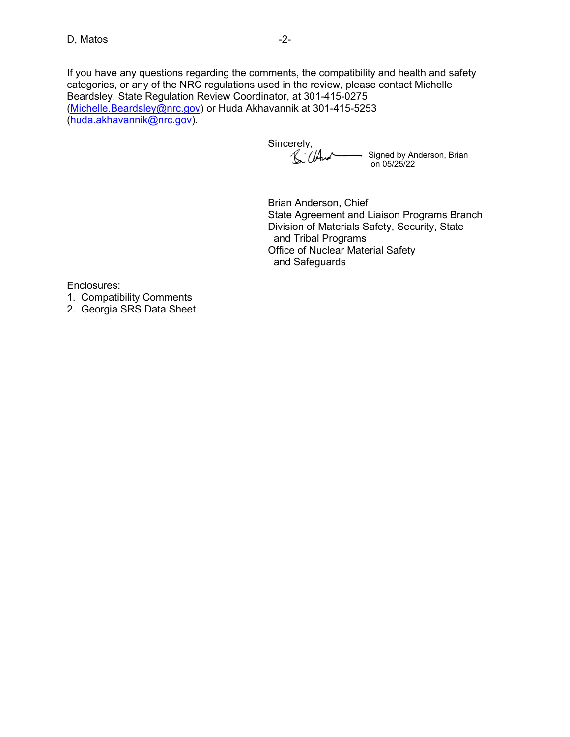If you have any questions regarding the comments, the compatibility and health and safety categories, or any of the NRC regulations used in the review, please contact Michelle Beardsley, State Regulation Review Coordinator, at 301-415-0275 ([Michelle.Beardsley@nrc.gov](mailto:Michelle.Beardsley@nrc.gov)) or Huda Akhavannik at 301-415-5253

([huda.akhavannik@nrc.gov](mailto:huda.akhavannik@nrc.gov)).

Sincerely, Signed by Anderson, Brian on 05/25/22

Brian Anderson, Chief State Agreement and Liaison Programs Branch Division of Materials Safety, Security, State and Tribal Programs Office of Nuclear Material Safety and Safeguards

Enclosures:

1. Compatibility Comments

2. Georgia SRS Data Sheet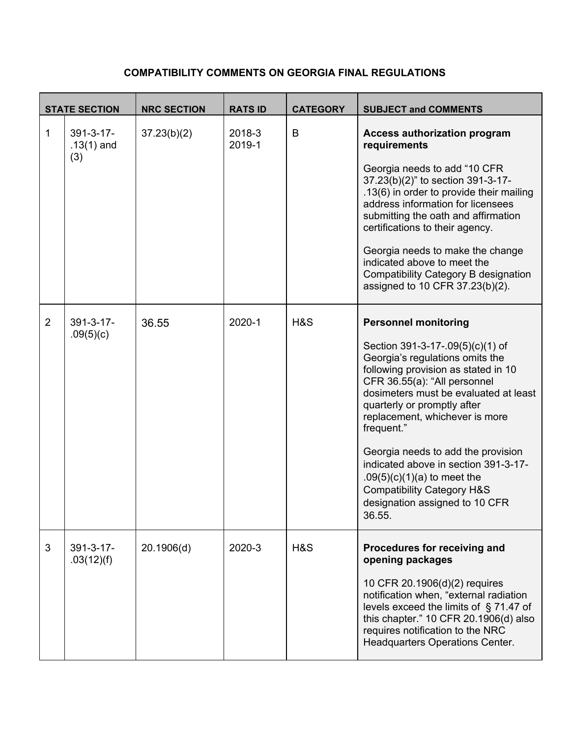## **COMPATIBILITY COMMENTS ON GEORGIA FINAL REGULATIONS**

|                | <b>STATE SECTION</b>                    | <b>NRC SECTION</b> | <b>RATS ID</b>   | <b>CATEGORY</b> | <b>SUBJECT and COMMENTS</b>                                                                                                                                                                                                                                                                                                                                                                                                                                                                           |
|----------------|-----------------------------------------|--------------------|------------------|-----------------|-------------------------------------------------------------------------------------------------------------------------------------------------------------------------------------------------------------------------------------------------------------------------------------------------------------------------------------------------------------------------------------------------------------------------------------------------------------------------------------------------------|
| 1              | $391 - 3 - 17 -$<br>$.13(1)$ and<br>(3) | 37.23(b)(2)        | 2018-3<br>2019-1 | B               | <b>Access authorization program</b><br>requirements<br>Georgia needs to add "10 CFR<br>37.23(b)(2)" to section 391-3-17-<br>.13(6) in order to provide their mailing<br>address information for licensees<br>submitting the oath and affirmation<br>certifications to their agency.<br>Georgia needs to make the change<br>indicated above to meet the<br><b>Compatibility Category B designation</b><br>assigned to 10 CFR 37.23(b)(2).                                                              |
| $\overline{2}$ | $391 - 3 - 17 -$<br>.09(5)(c)           | 36.55              | 2020-1           | H&S             | <b>Personnel monitoring</b><br>Section 391-3-17-.09(5)(c)(1) of<br>Georgia's regulations omits the<br>following provision as stated in 10<br>CFR 36.55(a): "All personnel<br>dosimeters must be evaluated at least<br>quarterly or promptly after<br>replacement, whichever is more<br>frequent."<br>Georgia needs to add the provision<br>indicated above in section 391-3-17-<br>$.09(5)(c)(1)(a)$ to meet the<br><b>Compatibility Category H&amp;S</b><br>designation assigned to 10 CFR<br>36.55. |
| 3              | 391-3-17-<br>.03(12)(f)                 | 20.1906(d)         | 2020-3           | H&S             | Procedures for receiving and<br>opening packages<br>10 CFR 20.1906(d)(2) requires<br>notification when, "external radiation<br>levels exceed the limits of §71.47 of<br>this chapter." 10 CFR 20.1906(d) also<br>requires notification to the NRC<br>Headquarters Operations Center.                                                                                                                                                                                                                  |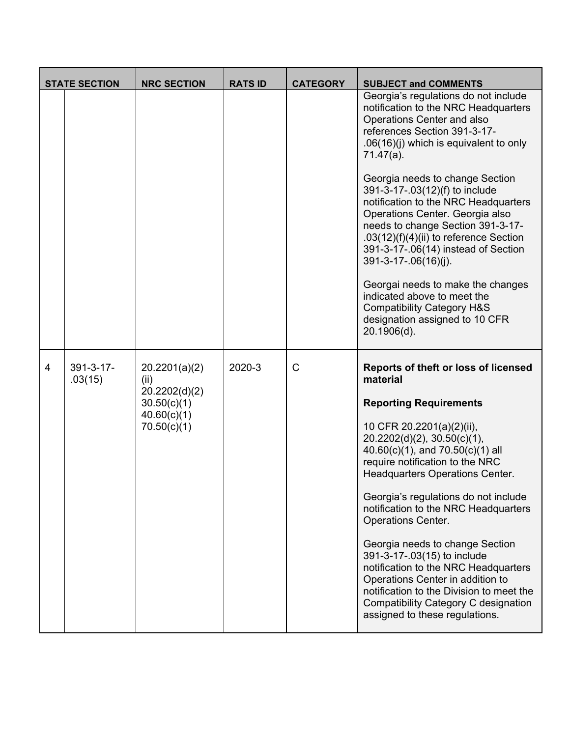| <b>STATE SECTION</b> |                             | <b>NRC SECTION</b>                                                                  | <b>RATS ID</b> | <b>CATEGORY</b> | <b>SUBJECT and COMMENTS</b>                                                                                                                                                                                                                                                                                                                                                                                                                                                                                                                                                                                                                                           |
|----------------------|-----------------------------|-------------------------------------------------------------------------------------|----------------|-----------------|-----------------------------------------------------------------------------------------------------------------------------------------------------------------------------------------------------------------------------------------------------------------------------------------------------------------------------------------------------------------------------------------------------------------------------------------------------------------------------------------------------------------------------------------------------------------------------------------------------------------------------------------------------------------------|
|                      |                             |                                                                                     |                |                 | Georgia's regulations do not include<br>notification to the NRC Headquarters<br>Operations Center and also<br>references Section 391-3-17-<br>$.06(16)(j)$ which is equivalent to only<br>$71.47(a)$ .<br>Georgia needs to change Section<br>391-3-17-.03(12)(f) to include<br>notification to the NRC Headquarters<br>Operations Center. Georgia also<br>needs to change Section 391-3-17-<br>.03 $(12)(f)(4)(ii)$ to reference Section<br>391-3-17-.06(14) instead of Section<br>391-3-17-.06(16)(j).<br>Georgai needs to make the changes<br>indicated above to meet the<br><b>Compatibility Category H&amp;S</b><br>designation assigned to 10 CFR<br>20.1906(d). |
| 4                    | $391 - 3 - 17 -$<br>.03(15) | 20.2201(a)(2)<br>(ii)<br>20.2202(d)(2)<br>30.50(c)(1)<br>40.60(c)(1)<br>70.50(c)(1) | 2020-3         | C               | Reports of theft or loss of licensed<br>material<br><b>Reporting Requirements</b><br>10 CFR 20.2201(a)(2)(ii),<br>$20.2202(d)(2)$ , $30.50(c)(1)$ ,<br>$40.60(c)(1)$ , and $70.50(c)(1)$ all<br>require notification to the NRC<br>Headquarters Operations Center.<br>Georgia's regulations do not include<br>notification to the NRC Headquarters<br><b>Operations Center.</b><br>Georgia needs to change Section<br>391-3-17-.03(15) to include<br>notification to the NRC Headquarters<br>Operations Center in addition to<br>notification to the Division to meet the<br>Compatibility Category C designation<br>assigned to these regulations.                   |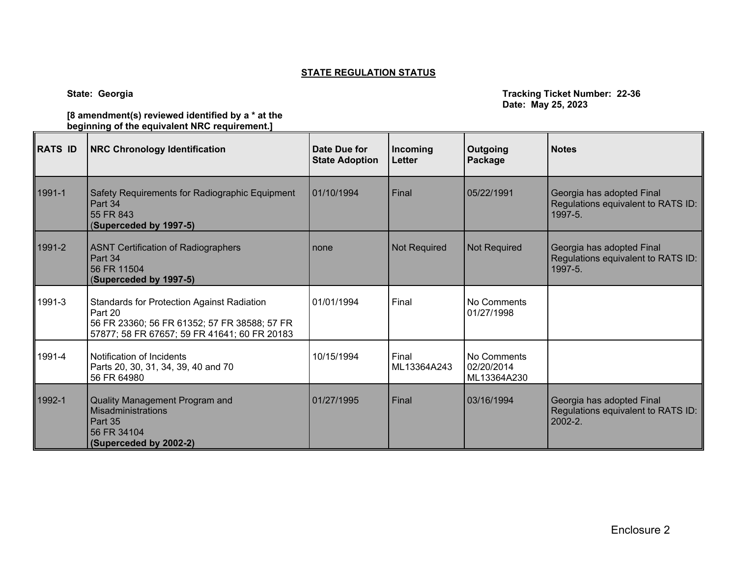## **STATE REGULATION STATUS**

 $\overline{\phantom{0}}$ 

 $\overline{\phantom{a}}$ 

 $\blacksquare$ 

**State: Georgia Tracking Ticket Number: 22-36 Date: May 25, 2023**

| [8 amendment(s) reviewed identified by a $*$ at the |
|-----------------------------------------------------|
| beginning of the equivalent NRC requirement.]       |
|                                                     |

| <b>RATS ID</b> | <b>NRC Chronology Identification</b>                                                                                                                         | Date Due for<br><b>State Adoption</b> | Incoming<br><b>Letter</b> | Outgoing<br>Package                      | <b>Notes</b>                                                                  |
|----------------|--------------------------------------------------------------------------------------------------------------------------------------------------------------|---------------------------------------|---------------------------|------------------------------------------|-------------------------------------------------------------------------------|
| 1991-1         | Safety Requirements for Radiographic Equipment<br>Part 34<br>55 FR 843<br>(Superceded by 1997-5)                                                             | 01/10/1994                            | Final                     | 05/22/1991                               | Georgia has adopted Final<br>Regulations equivalent to RATS ID:<br>1997-5.    |
| 1991-2         | <b>ASNT Certification of Radiographers</b><br>Part 34<br>56 FR 11504<br>(Superceded by 1997-5)                                                               | none                                  | <b>Not Required</b>       | <b>Not Required</b>                      | Georgia has adopted Final<br>Regulations equivalent to RATS ID:<br>1997-5.    |
| 1991-3         | <b>Standards for Protection Against Radiation</b><br>Part 20<br>56 FR 23360; 56 FR 61352; 57 FR 38588; 57 FR<br>57877; 58 FR 67657; 59 FR 41641; 60 FR 20183 | 01/01/1994                            | Final                     | No Comments<br>01/27/1998                |                                                                               |
| 1991-4         | Notification of Incidents<br>Parts 20, 30, 31, 34, 39, 40 and 70<br>56 FR 64980                                                                              | 10/15/1994                            | Final<br>ML13364A243      | No Comments<br>02/20/2014<br>ML13364A230 |                                                                               |
| 1992-1         | Quality Management Program and<br>Misadministrations<br>Part 35<br>56 FR 34104<br>(Superceded by 2002-2)                                                     | 01/27/1995                            | Final                     | 03/16/1994                               | Georgia has adopted Final<br>Regulations equivalent to RATS ID:<br>$2002 - 2$ |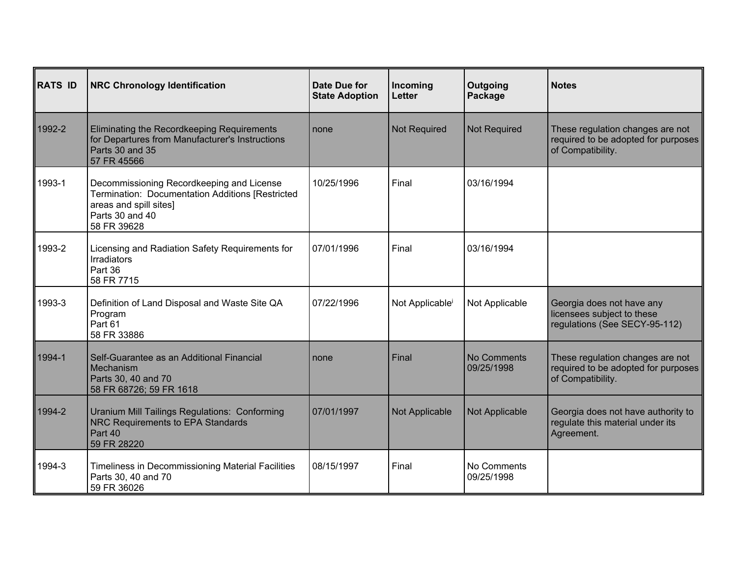| <b>RATS ID</b> | <b>NRC Chronology Identification</b>                                                                                                                      | <b>Date Due for</b><br><b>State Adoption</b> | Incoming<br><b>Letter</b>   | Outgoing<br>Package       | <b>Notes</b>                                                                                 |
|----------------|-----------------------------------------------------------------------------------------------------------------------------------------------------------|----------------------------------------------|-----------------------------|---------------------------|----------------------------------------------------------------------------------------------|
| 1992-2         | Eliminating the Recordkeeping Requirements<br>for Departures from Manufacturer's Instructions<br>Parts 30 and 35<br>57 FR 45566                           | none                                         | Not Required                | <b>Not Required</b>       | These regulation changes are not<br>required to be adopted for purposes<br>of Compatibility. |
| 1993-1         | Decommissioning Recordkeeping and License<br>Termination: Documentation Additions [Restricted<br>areas and spill sites]<br>Parts 30 and 40<br>58 FR 39628 | 10/25/1996                                   | Final                       | 03/16/1994                |                                                                                              |
| 1993-2         | Licensing and Radiation Safety Requirements for<br>Irradiators<br>Part 36<br>58 FR 7715                                                                   | 07/01/1996                                   | Final                       | 03/16/1994                |                                                                                              |
| 1993-3         | Definition of Land Disposal and Waste Site QA<br>Program<br>Part 61<br>58 FR 33886                                                                        | 07/22/1996                                   | Not Applicable <sup>i</sup> | Not Applicable            | Georgia does not have any<br>licensees subject to these<br>regulations (See SECY-95-112)     |
| 1994-1         | Self-Guarantee as an Additional Financial<br>Mechanism<br>Parts 30, 40 and 70<br>58 FR 68726; 59 FR 1618                                                  | none                                         | Final                       | No Comments<br>09/25/1998 | These regulation changes are not<br>required to be adopted for purposes<br>of Compatibility. |
| 1994-2         | Uranium Mill Tailings Regulations: Conforming<br><b>NRC Requirements to EPA Standards</b><br>Part 40<br>59 FR 28220                                       | 07/01/1997                                   | Not Applicable              | Not Applicable            | Georgia does not have authority to<br>regulate this material under its<br>Agreement.         |
| 1994-3         | Timeliness in Decommissioning Material Facilities<br>Parts 30, 40 and 70<br>59 FR 36026                                                                   | 08/15/1997                                   | Final                       | No Comments<br>09/25/1998 |                                                                                              |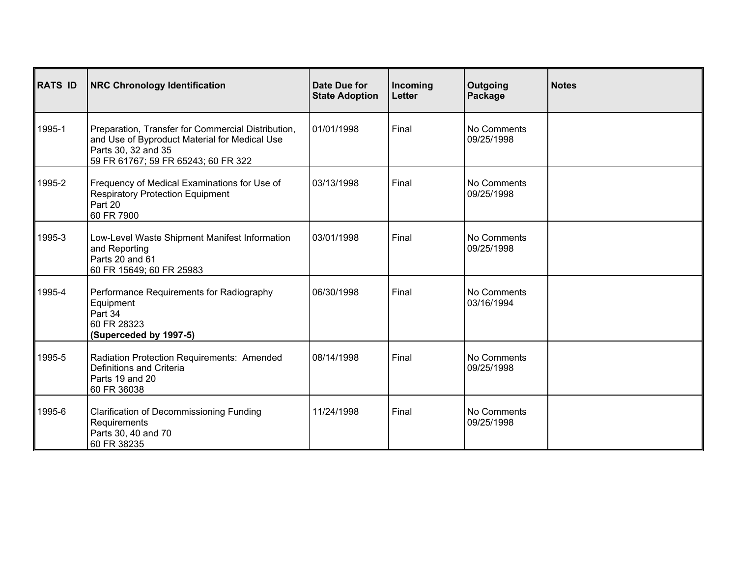| <b>RATS ID</b> | <b>NRC Chronology Identification</b>                                                                                                                              | Date Due for<br><b>State Adoption</b> | Incoming<br>Letter | Outgoing<br>Package       | <b>Notes</b> |
|----------------|-------------------------------------------------------------------------------------------------------------------------------------------------------------------|---------------------------------------|--------------------|---------------------------|--------------|
| 1995-1         | Preparation, Transfer for Commercial Distribution,<br>and Use of Byproduct Material for Medical Use<br>Parts 30, 32 and 35<br>59 FR 61767; 59 FR 65243; 60 FR 322 | 01/01/1998                            | Final              | No Comments<br>09/25/1998 |              |
| 1995-2         | Frequency of Medical Examinations for Use of<br><b>Respiratory Protection Equipment</b><br>Part 20<br>60 FR 7900                                                  | 03/13/1998                            | Final              | No Comments<br>09/25/1998 |              |
| 1995-3         | Low-Level Waste Shipment Manifest Information<br>and Reporting<br>Parts 20 and 61<br>60 FR 15649; 60 FR 25983                                                     | 03/01/1998                            | Final              | No Comments<br>09/25/1998 |              |
| 1995-4         | Performance Requirements for Radiography<br>Equipment<br>Part 34<br>60 FR 28323<br>(Superceded by 1997-5)                                                         | 06/30/1998                            | Final              | No Comments<br>03/16/1994 |              |
| 1995-5         | Radiation Protection Requirements: Amended<br>Definitions and Criteria<br>Parts 19 and 20<br>60 FR 36038                                                          | 08/14/1998                            | Final              | No Comments<br>09/25/1998 |              |
| 1995-6         | <b>Clarification of Decommissioning Funding</b><br>Requirements<br>Parts 30, 40 and 70<br>60 FR 38235                                                             | 11/24/1998                            | Final              | No Comments<br>09/25/1998 |              |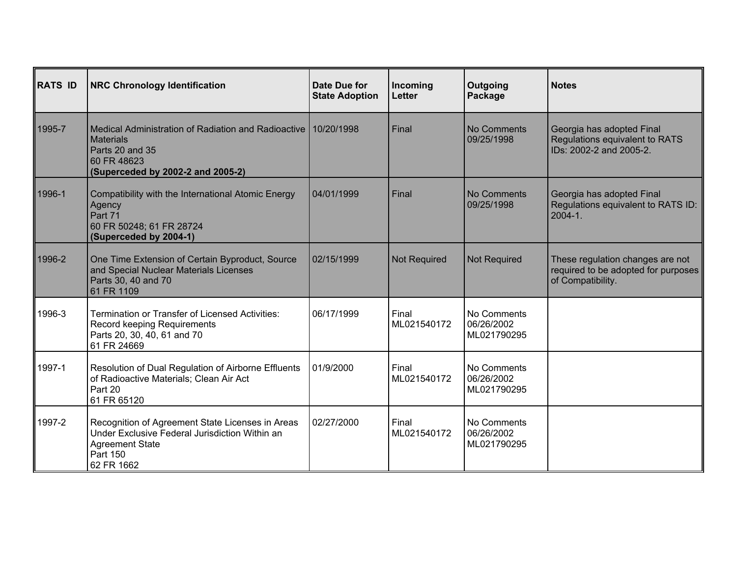| <b>RATS ID</b> | <b>NRC Chronology Identification</b>                                                                                                                          | Date Due for<br><b>State Adoption</b> | Incoming<br><b>Letter</b> | Outgoing<br>Package                      | <b>Notes</b>                                                                                 |
|----------------|---------------------------------------------------------------------------------------------------------------------------------------------------------------|---------------------------------------|---------------------------|------------------------------------------|----------------------------------------------------------------------------------------------|
| 1995-7         | l Medical Administration of Radiation and Radioactive I 10/20/1998<br><b>Materials</b><br>Parts 20 and 35<br>60 FR 48623<br>(Superceded by 2002-2 and 2005-2) |                                       | Final                     | No Comments<br>09/25/1998                | Georgia has adopted Final<br>Regulations equivalent to RATS<br>IDs: 2002-2 and 2005-2.       |
| 1996-1         | Compatibility with the International Atomic Energy<br>Agency<br>Part 71<br>60 FR 50248; 61 FR 28724<br>(Superceded by 2004-1)                                 | 04/01/1999                            | Final                     | No Comments<br>09/25/1998                | Georgia has adopted Final<br>Regulations equivalent to RATS ID:<br>$2004 - 1$ .              |
| 1996-2         | One Time Extension of Certain Byproduct, Source<br>and Special Nuclear Materials Licenses<br>Parts 30, 40 and 70<br>61 FR 1109                                | 02/15/1999                            | <b>Not Required</b>       | <b>Not Required</b>                      | These regulation changes are not<br>required to be adopted for purposes<br>of Compatibility. |
| 1996-3         | <b>Termination or Transfer of Licensed Activities:</b><br>Record keeping Requirements<br>Parts 20, 30, 40, 61 and 70<br>61 FR 24669                           | 06/17/1999                            | Final<br>ML021540172      | No Comments<br>06/26/2002<br>ML021790295 |                                                                                              |
| 1997-1         | Resolution of Dual Regulation of Airborne Effluents<br>of Radioactive Materials; Clean Air Act<br>Part 20<br>61 FR 65120                                      | 01/9/2000                             | Final<br>ML021540172      | No Comments<br>06/26/2002<br>ML021790295 |                                                                                              |
| 1997-2         | Recognition of Agreement State Licenses in Areas<br>Under Exclusive Federal Jurisdiction Within an<br><b>Agreement State</b><br>Part 150<br>62 FR 1662        | 02/27/2000                            | Final<br>ML021540172      | No Comments<br>06/26/2002<br>ML021790295 |                                                                                              |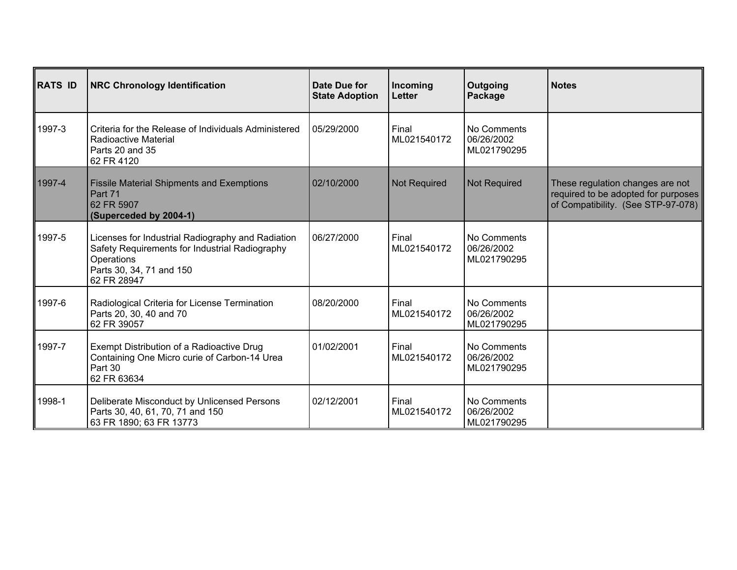| <b>RATS ID</b> | <b>NRC Chronology Identification</b>                                                                                                                         | Date Due for<br><b>State Adoption</b> | Incoming<br><b>Letter</b> | Outgoing<br>Package                      | <b>Notes</b>                                                                                                  |
|----------------|--------------------------------------------------------------------------------------------------------------------------------------------------------------|---------------------------------------|---------------------------|------------------------------------------|---------------------------------------------------------------------------------------------------------------|
| 1997-3         | Criteria for the Release of Individuals Administered<br>Radioactive Material<br>Parts 20 and 35<br>62 FR 4120                                                | 05/29/2000                            | Final<br>ML021540172      | No Comments<br>06/26/2002<br>ML021790295 |                                                                                                               |
| 1997-4         | <b>Fissile Material Shipments and Exemptions</b><br>Part 71<br>62 FR 5907<br>(Superceded by 2004-1)                                                          | 02/10/2000                            | <b>Not Required</b>       | <b>Not Required</b>                      | These regulation changes are not<br>required to be adopted for purposes<br>of Compatibility. (See STP-97-078) |
| 1997-5         | Licenses for Industrial Radiography and Radiation<br>Safety Requirements for Industrial Radiography<br>Operations<br>Parts 30, 34, 71 and 150<br>62 FR 28947 | 06/27/2000                            | Final<br>ML021540172      | No Comments<br>06/26/2002<br>ML021790295 |                                                                                                               |
| 1997-6         | Radiological Criteria for License Termination<br>Parts 20, 30, 40 and 70<br>62 FR 39057                                                                      | 08/20/2000                            | Final<br>ML021540172      | No Comments<br>06/26/2002<br>ML021790295 |                                                                                                               |
| 1997-7         | Exempt Distribution of a Radioactive Drug<br>Containing One Micro curie of Carbon-14 Urea<br>Part 30<br>62 FR 63634                                          | 01/02/2001                            | Final<br>ML021540172      | No Comments<br>06/26/2002<br>ML021790295 |                                                                                                               |
| 1998-1         | Deliberate Misconduct by Unlicensed Persons<br>Parts 30, 40, 61, 70, 71 and 150<br>63 FR 1890; 63 FR 13773                                                   | 02/12/2001                            | Final<br>ML021540172      | No Comments<br>06/26/2002<br>ML021790295 |                                                                                                               |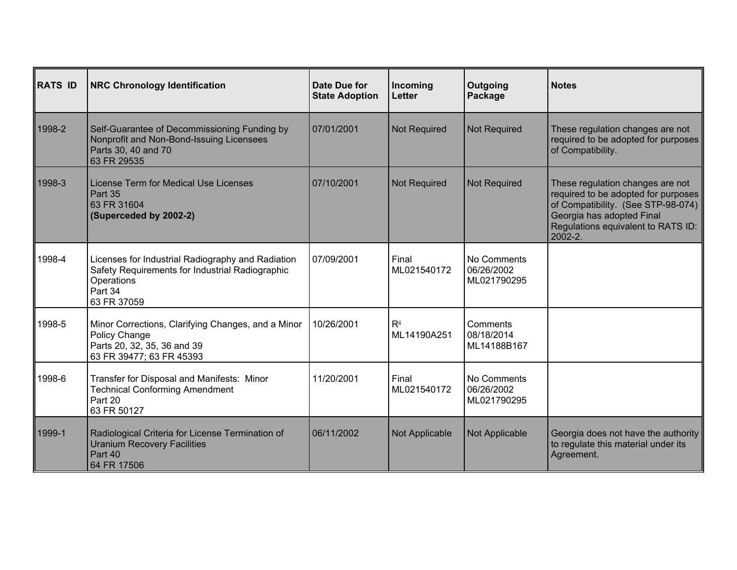| <b>RATS ID</b> | <b>NRC Chronology Identification</b>                                                                                                         | Date Due for<br><b>State Adoption</b> | Incoming<br><b>Letter</b> | Outgoing<br>Package                      | <b>Notes</b>                                                                                                                                                                                    |
|----------------|----------------------------------------------------------------------------------------------------------------------------------------------|---------------------------------------|---------------------------|------------------------------------------|-------------------------------------------------------------------------------------------------------------------------------------------------------------------------------------------------|
| 1998-2         | Self-Guarantee of Decommissioning Funding by<br>Nonprofit and Non-Bond-Issuing Licensees<br>Parts 30, 40 and 70<br>63 FR 29535               | 07/01/2001                            | <b>Not Required</b>       | <b>Not Required</b>                      | These regulation changes are not<br>required to be adopted for purposes<br>of Compatibility.                                                                                                    |
| 1998-3         | License Term for Medical Use Licenses<br>Part 35<br>63 FR 31604<br>(Superceded by 2002-2)                                                    | 07/10/2001                            | <b>Not Required</b>       | <b>Not Required</b>                      | These regulation changes are not<br>required to be adopted for purposes<br>of Compatibility. (See STP-98-074)<br>Georgia has adopted Final<br>Regulations equivalent to RATS ID:<br>$2002 - 2.$ |
| 1998-4         | Licenses for Industrial Radiography and Radiation<br>Safety Requirements for Industrial Radiographic<br>Operations<br>Part 34<br>63 FR 37059 | 07/09/2001                            | Final<br>ML021540172      | No Comments<br>06/26/2002<br>ML021790295 |                                                                                                                                                                                                 |
| 1998-5         | Minor Corrections, Clarifying Changes, and a Minor<br>Policy Change<br>Parts 20, 32, 35, 36 and 39<br>63 FR 39477; 63 FR 45393               | 10/26/2001                            | $R^{ii}$<br>ML14190A251   | Comments<br>08/18/2014<br>ML14188B167    |                                                                                                                                                                                                 |
| 1998-6         | Transfer for Disposal and Manifests: Minor<br><b>Technical Conforming Amendment</b><br>Part 20<br>63 FR 50127                                | 11/20/2001                            | Final<br>ML021540172      | No Comments<br>06/26/2002<br>ML021790295 |                                                                                                                                                                                                 |
| 1999-1         | Radiological Criteria for License Termination of<br><b>Uranium Recovery Facilities</b><br>Part 40<br>64 FR 17506                             | 06/11/2002                            | Not Applicable            | Not Applicable                           | Georgia does not have the authority<br>to regulate this material under its<br>Agreement.                                                                                                        |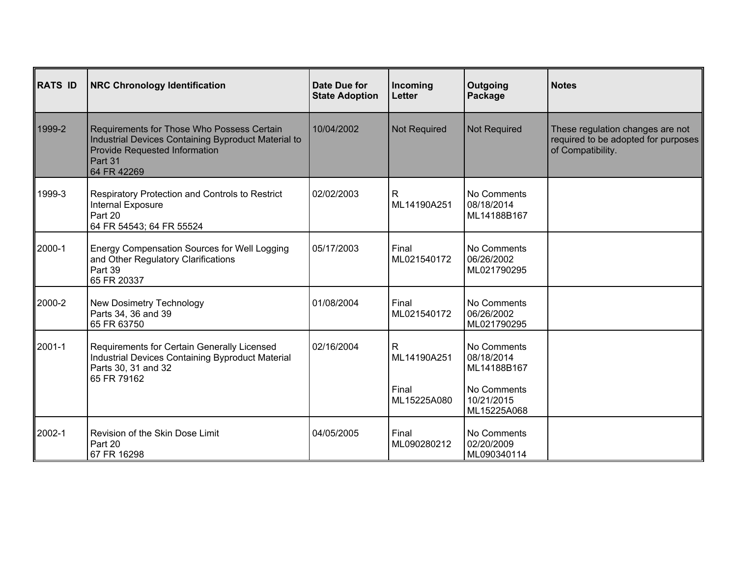| <b>RATS ID</b> | <b>NRC Chronology Identification</b>                                                                                                                         | Date Due for<br><b>State Adoption</b> | Incoming<br><b>Letter</b>                           | Outgoing<br>Package                                                                  | <b>Notes</b>                                                                                 |
|----------------|--------------------------------------------------------------------------------------------------------------------------------------------------------------|---------------------------------------|-----------------------------------------------------|--------------------------------------------------------------------------------------|----------------------------------------------------------------------------------------------|
| 1999-2         | Requirements for Those Who Possess Certain<br>Industrial Devices Containing Byproduct Material to<br>Provide Requested Information<br>Part 31<br>64 FR 42269 | 10/04/2002                            | <b>Not Required</b>                                 | <b>Not Required</b>                                                                  | These regulation changes are not<br>required to be adopted for purposes<br>of Compatibility. |
| 1999-3         | Respiratory Protection and Controls to Restrict<br>Internal Exposure<br>Part 20<br>64 FR 54543; 64 FR 55524                                                  | 02/02/2003                            | $\mathsf{R}$<br>ML14190A251                         | No Comments<br>08/18/2014<br>ML14188B167                                             |                                                                                              |
| 2000-1         | Energy Compensation Sources for Well Logging<br>and Other Regulatory Clarifications<br>Part 39<br>65 FR 20337                                                | 05/17/2003                            | Final<br>ML021540172                                | No Comments<br>06/26/2002<br>ML021790295                                             |                                                                                              |
| 2000-2         | New Dosimetry Technology<br>Parts 34, 36 and 39<br>65 FR 63750                                                                                               | 01/08/2004                            | Final<br>ML021540172                                | No Comments<br>06/26/2002<br>ML021790295                                             |                                                                                              |
| 2001-1         | Requirements for Certain Generally Licensed<br>Industrial Devices Containing Byproduct Material<br>Parts 30, 31 and 32<br>65 FR 79162                        | 02/16/2004                            | $\mathsf{R}$<br>ML14190A251<br>Final<br>ML15225A080 | No Comments<br>08/18/2014<br>ML14188B167<br>No Comments<br>10/21/2015<br>ML15225A068 |                                                                                              |
| 2002-1         | Revision of the Skin Dose Limit<br>Part 20<br>67 FR 16298                                                                                                    | 04/05/2005                            | Final<br>ML090280212                                | No Comments<br>02/20/2009<br>ML090340114                                             |                                                                                              |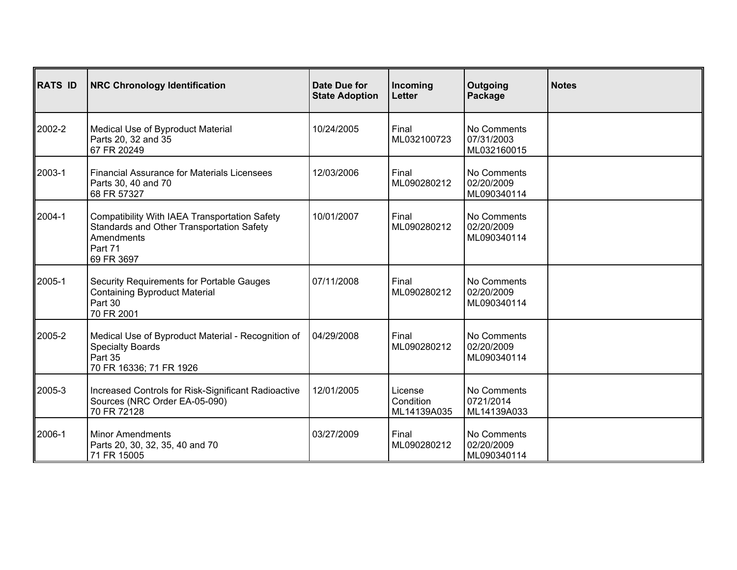| <b>RATS ID</b> | <b>NRC Chronology Identification</b>                                                                                              | Date Due for<br><b>State Adoption</b> | Incoming<br><b>Letter</b>           | Outgoing<br>Package                      | <b>Notes</b> |
|----------------|-----------------------------------------------------------------------------------------------------------------------------------|---------------------------------------|-------------------------------------|------------------------------------------|--------------|
| 2002-2         | Medical Use of Byproduct Material<br>Parts 20, 32 and 35<br>67 FR 20249                                                           | 10/24/2005                            | Final<br>ML032100723                | No Comments<br>07/31/2003<br>ML032160015 |              |
| ∥2003-1        | <b>Financial Assurance for Materials Licensees</b><br>Parts 30, 40 and 70<br>68 FR 57327                                          | 12/03/2006                            | Final<br>ML090280212                | No Comments<br>02/20/2009<br>ML090340114 |              |
| 2004-1         | Compatibility With IAEA Transportation Safety<br>Standards and Other Transportation Safety<br>Amendments<br>Part 71<br>69 FR 3697 | 10/01/2007                            | Final<br>ML090280212                | No Comments<br>02/20/2009<br>ML090340114 |              |
| 2005-1         | Security Requirements for Portable Gauges<br><b>Containing Byproduct Material</b><br>Part 30<br>70 FR 2001                        | 07/11/2008                            | Final<br>ML090280212                | No Comments<br>02/20/2009<br>ML090340114 |              |
| 2005-2         | Medical Use of Byproduct Material - Recognition of<br><b>Specialty Boards</b><br>Part 35<br>70 FR 16336; 71 FR 1926               | 04/29/2008                            | Final<br>ML090280212                | No Comments<br>02/20/2009<br>ML090340114 |              |
| 2005-3         | Increased Controls for Risk-Significant Radioactive<br>Sources (NRC Order EA-05-090)<br>70 FR 72128                               | 12/01/2005                            | License<br>Condition<br>ML14139A035 | No Comments<br>0721/2014<br>ML14139A033  |              |
| ∥2006-1        | <b>Minor Amendments</b><br>Parts 20, 30, 32, 35, 40 and 70<br>71 FR 15005                                                         | 03/27/2009                            | Final<br>ML090280212                | No Comments<br>02/20/2009<br>ML090340114 |              |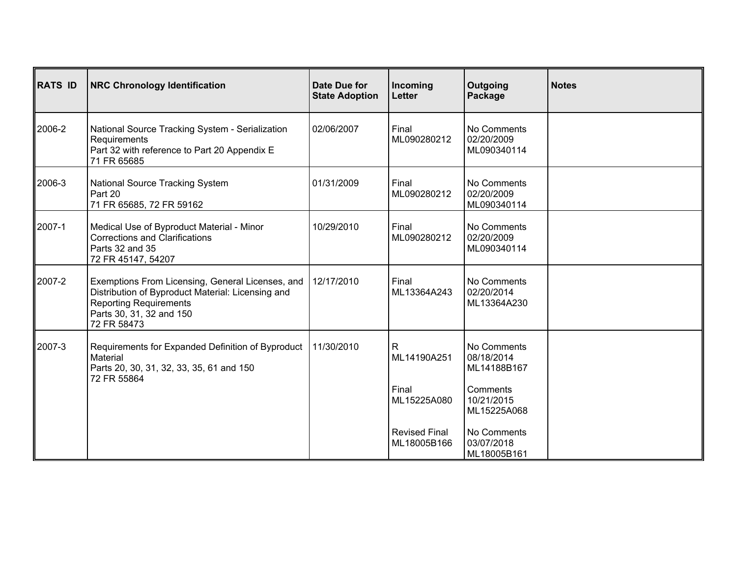| <b>RATS ID</b> | <b>NRC Chronology Identification</b>                                                                                                                                              | Date Due for<br><b>State Adoption</b> | Incoming<br><b>Letter</b>           | Outgoing<br>Package                      | <b>Notes</b> |
|----------------|-----------------------------------------------------------------------------------------------------------------------------------------------------------------------------------|---------------------------------------|-------------------------------------|------------------------------------------|--------------|
| 2006-2         | National Source Tracking System - Serialization<br>Requirements<br>Part 32 with reference to Part 20 Appendix E<br>71 FR 65685                                                    | 02/06/2007                            | Final<br>ML090280212                | No Comments<br>02/20/2009<br>ML090340114 |              |
| 2006-3         | National Source Tracking System<br>Part 20<br>71 FR 65685, 72 FR 59162                                                                                                            | 01/31/2009                            | Final<br>ML090280212                | No Comments<br>02/20/2009<br>ML090340114 |              |
| 2007-1         | Medical Use of Byproduct Material - Minor<br><b>Corrections and Clarifications</b><br>Parts 32 and 35<br>72 FR 45147, 54207                                                       | 10/29/2010                            | Final<br>ML090280212                | No Comments<br>02/20/2009<br>ML090340114 |              |
| 2007-2         | Exemptions From Licensing, General Licenses, and<br>Distribution of Byproduct Material: Licensing and<br><b>Reporting Requirements</b><br>Parts 30, 31, 32 and 150<br>72 FR 58473 | 12/17/2010                            | Final<br>ML13364A243                | No Comments<br>02/20/2014<br>ML13364A230 |              |
| 2007-3         | Requirements for Expanded Definition of Byproduct<br>Material<br>Parts 20, 30, 31, 32, 33, 35, 61 and 150<br>72 FR 55864                                                          | 11/30/2010                            | R<br>ML14190A251                    | No Comments<br>08/18/2014<br>ML14188B167 |              |
|                |                                                                                                                                                                                   |                                       | Final<br>ML15225A080                | Comments<br>10/21/2015<br>ML15225A068    |              |
|                |                                                                                                                                                                                   |                                       | <b>Revised Final</b><br>ML18005B166 | No Comments<br>03/07/2018<br>ML18005B161 |              |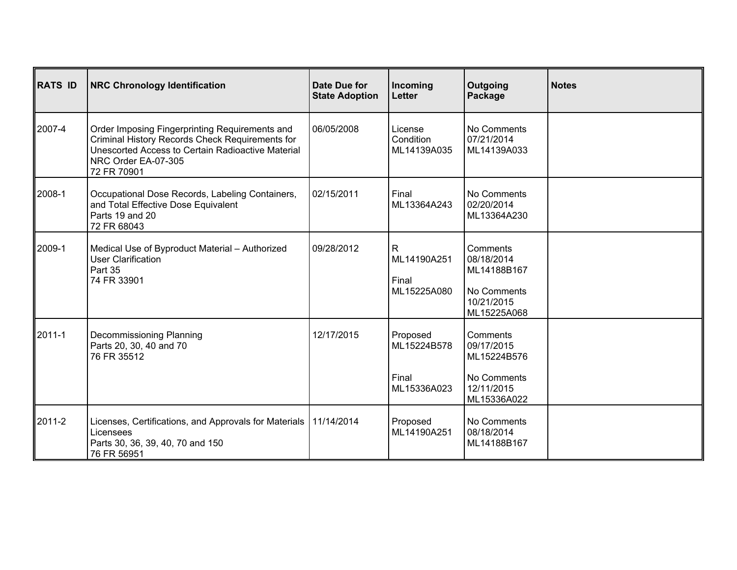| <b>RATS ID</b> | <b>NRC Chronology Identification</b>                                                                                                                                                         | Date Due for<br><b>State Adoption</b> | Incoming<br><b>Letter</b>                             | Outgoing<br>Package                                                               | <b>Notes</b> |
|----------------|----------------------------------------------------------------------------------------------------------------------------------------------------------------------------------------------|---------------------------------------|-------------------------------------------------------|-----------------------------------------------------------------------------------|--------------|
| 2007-4         | Order Imposing Fingerprinting Requirements and<br>Criminal History Records Check Requirements for<br>Unescorted Access to Certain Radioactive Material<br>NRC Order EA-07-305<br>72 FR 70901 | 06/05/2008                            | License<br>Condition<br>ML14139A035                   | No Comments<br>07/21/2014<br>ML14139A033                                          |              |
| 2008-1         | Occupational Dose Records, Labeling Containers,<br>and Total Effective Dose Equivalent<br>Parts 19 and 20<br>72 FR 68043                                                                     | 02/15/2011                            | Final<br>ML13364A243                                  | No Comments<br>02/20/2014<br>ML13364A230                                          |              |
| 2009-1         | Medical Use of Byproduct Material - Authorized<br><b>User Clarification</b><br>Part 35<br>74 FR 33901                                                                                        | 09/28/2012                            | $\overline{R}$<br>ML14190A251<br>Final<br>ML15225A080 | Comments<br>08/18/2014<br>ML14188B167<br>No Comments<br>10/21/2015<br>ML15225A068 |              |
| 2011-1         | Decommissioning Planning<br>Parts 20, 30, 40 and 70<br>76 FR 35512                                                                                                                           | 12/17/2015                            | Proposed<br>ML15224B578<br>Final<br>ML15336A023       | Comments<br>09/17/2015<br>ML15224B576<br>No Comments<br>12/11/2015<br>ML15336A022 |              |
| 2011-2         | Licenses, Certifications, and Approvals for Materials<br>Licensees<br>Parts 30, 36, 39, 40, 70 and 150<br>76 FR 56951                                                                        | 11/14/2014                            | Proposed<br>ML14190A251                               | No Comments<br>08/18/2014<br>ML14188B167                                          |              |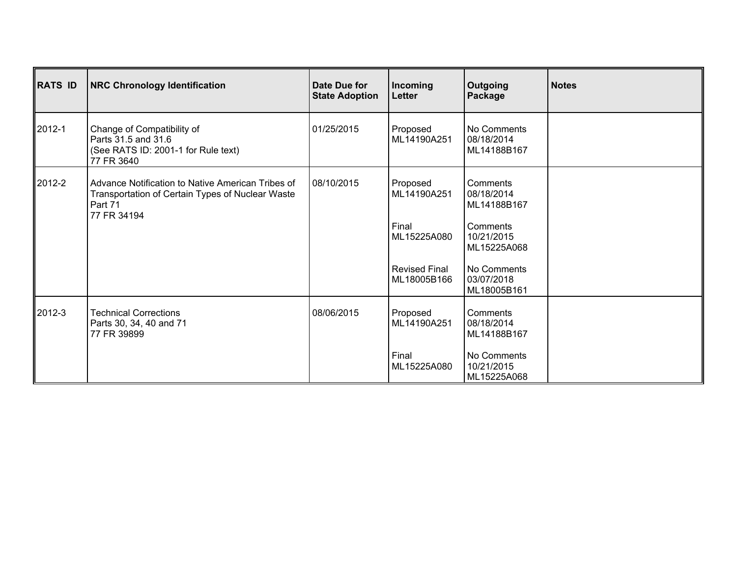| RATS ID | <b>NRC Chronology Identification</b>                                                                                            | Date Due for<br><b>State Adoption</b> | Incoming<br>Letter                                                                     | Outgoing<br>Package                                                                                                        | <b>Notes</b> |
|---------|---------------------------------------------------------------------------------------------------------------------------------|---------------------------------------|----------------------------------------------------------------------------------------|----------------------------------------------------------------------------------------------------------------------------|--------------|
| ∥2012-1 | Change of Compatibility of<br>Parts 31.5 and 31.6<br>(See RATS ID: 2001-1 for Rule text)<br>77 FR 3640                          | 01/25/2015                            | Proposed<br>ML14190A251                                                                | No Comments<br>08/18/2014<br>ML14188B167                                                                                   |              |
| ∥2012-2 | Advance Notification to Native American Tribes of<br>Transportation of Certain Types of Nuclear Waste<br>Part 71<br>77 FR 34194 | 08/10/2015                            | Proposed<br>ML14190A251<br>Final<br>ML15225A080<br><b>Revised Final</b><br>ML18005B166 | Comments<br>08/18/2014<br>ML14188B167<br>Comments<br>10/21/2015<br>ML15225A068<br>No Comments<br>03/07/2018<br>ML18005B161 |              |
| ∥2012-3 | <b>Technical Corrections</b><br>Parts 30, 34, 40 and 71<br>77 FR 39899                                                          | 08/06/2015                            | Proposed<br>ML14190A251<br>Final<br>ML15225A080                                        | Comments<br>08/18/2014<br>ML14188B167<br>No Comments<br>10/21/2015<br>ML15225A068                                          |              |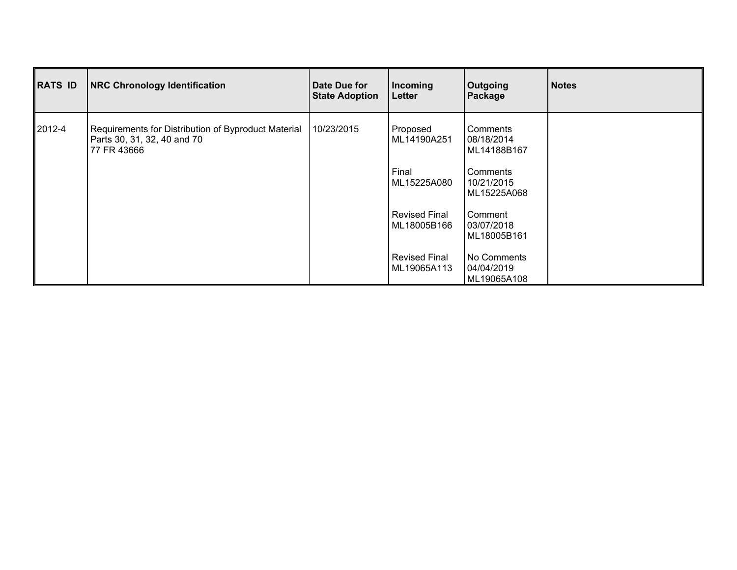| RATS ID | <b>NRC Chronology Identification</b>                                                              | Date Due for<br><b>State Adoption</b> | Incoming<br>Letter                  | Outgoing<br>Package                      | <b>Notes</b> |
|---------|---------------------------------------------------------------------------------------------------|---------------------------------------|-------------------------------------|------------------------------------------|--------------|
| ∥2012-4 | Requirements for Distribution of Byproduct Material<br>Parts 30, 31, 32, 40 and 70<br>77 FR 43666 | 10/23/2015                            | Proposed<br>ML14190A251             | Comments<br>08/18/2014<br>ML14188B167    |              |
|         |                                                                                                   |                                       | Final<br>ML15225A080                | Comments<br>10/21/2015<br>ML15225A068    |              |
|         |                                                                                                   |                                       | Revised Final<br>ML18005B166        | Comment<br>03/07/2018<br>ML18005B161     |              |
|         |                                                                                                   |                                       | <b>Revised Final</b><br>ML19065A113 | No Comments<br>04/04/2019<br>ML19065A108 |              |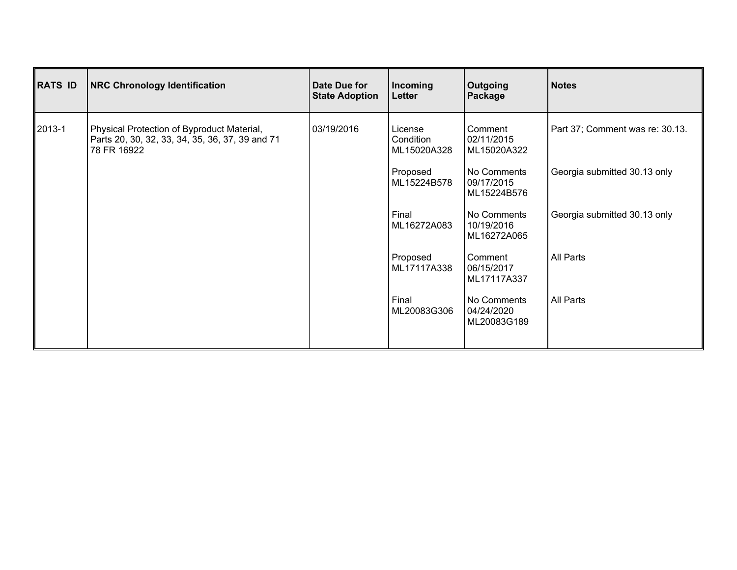| <b>RATS ID</b> | <b>NRC Chronology Identification</b>                                                                         | Date Due for<br><b>State Adoption</b> | Incoming<br>Letter                  | Outgoing<br>Package                      | Notes                           |
|----------------|--------------------------------------------------------------------------------------------------------------|---------------------------------------|-------------------------------------|------------------------------------------|---------------------------------|
| 2013-1         | Physical Protection of Byproduct Material,<br>Parts 20, 30, 32, 33, 34, 35, 36, 37, 39 and 71<br>78 FR 16922 | 03/19/2016                            | License<br>Condition<br>ML15020A328 | Comment<br>02/11/2015<br>ML15020A322     | Part 37; Comment was re: 30.13. |
|                |                                                                                                              |                                       | Proposed<br>ML15224B578             | No Comments<br>09/17/2015<br>ML15224B576 | Georgia submitted 30.13 only    |
|                |                                                                                                              |                                       | Final<br>ML16272A083                | No Comments<br>10/19/2016<br>ML16272A065 | Georgia submitted 30.13 only    |
|                |                                                                                                              |                                       | Proposed<br>ML17117A338             | Comment<br>06/15/2017<br>ML17117A337     | <b>All Parts</b>                |
|                |                                                                                                              |                                       | Final<br>ML20083G306                | No Comments<br>04/24/2020<br>ML20083G189 | <b>All Parts</b>                |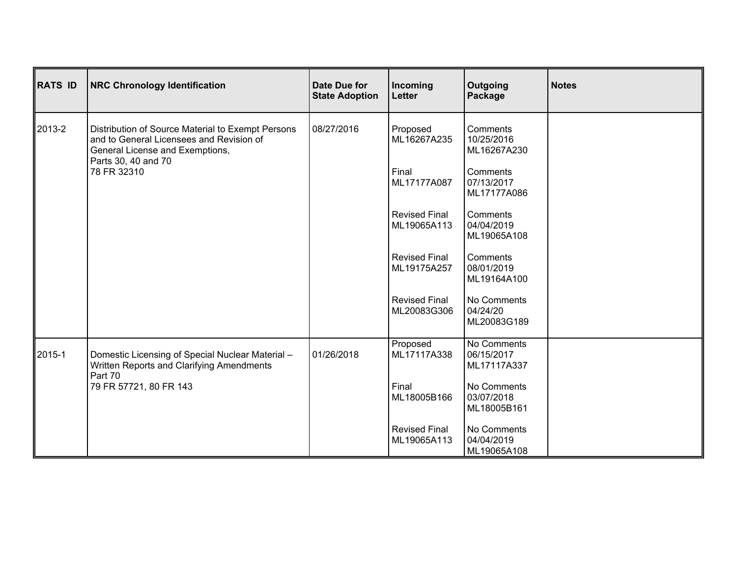| <b>RATS ID</b> | <b>NRC Chronology Identification</b>                                                                                             | <b>Date Due for</b><br><b>State Adoption</b> | Incoming<br>Letter                  | Outgoing<br>Package                      | <b>Notes</b> |
|----------------|----------------------------------------------------------------------------------------------------------------------------------|----------------------------------------------|-------------------------------------|------------------------------------------|--------------|
| 2013-2         | Distribution of Source Material to Exempt Persons<br>and to General Licensees and Revision of<br>General License and Exemptions, | 08/27/2016                                   | Proposed<br>ML16267A235             | Comments<br>10/25/2016<br>ML16267A230    |              |
|                | Parts 30, 40 and 70<br>78 FR 32310                                                                                               |                                              | Final<br>ML17177A087                | Comments<br>07/13/2017<br>ML17177A086    |              |
|                |                                                                                                                                  |                                              | <b>Revised Final</b><br>ML19065A113 | Comments<br>04/04/2019<br>ML19065A108    |              |
|                |                                                                                                                                  |                                              | <b>Revised Final</b><br>ML19175A257 | Comments<br>08/01/2019<br>ML19164A100    |              |
|                |                                                                                                                                  |                                              | <b>Revised Final</b><br>ML20083G306 | No Comments<br>04/24/20<br>ML20083G189   |              |
| 2015-1         | Domestic Licensing of Special Nuclear Material -<br>Written Reports and Clarifying Amendments<br>Part 70                         | 01/26/2018                                   | Proposed<br>ML17117A338             | No Comments<br>06/15/2017<br>ML17117A337 |              |
|                | 79 FR 57721, 80 FR 143                                                                                                           |                                              | Final<br>ML18005B166                | No Comments<br>03/07/2018<br>ML18005B161 |              |
|                |                                                                                                                                  |                                              | <b>Revised Final</b><br>ML19065A113 | No Comments<br>04/04/2019<br>ML19065A108 |              |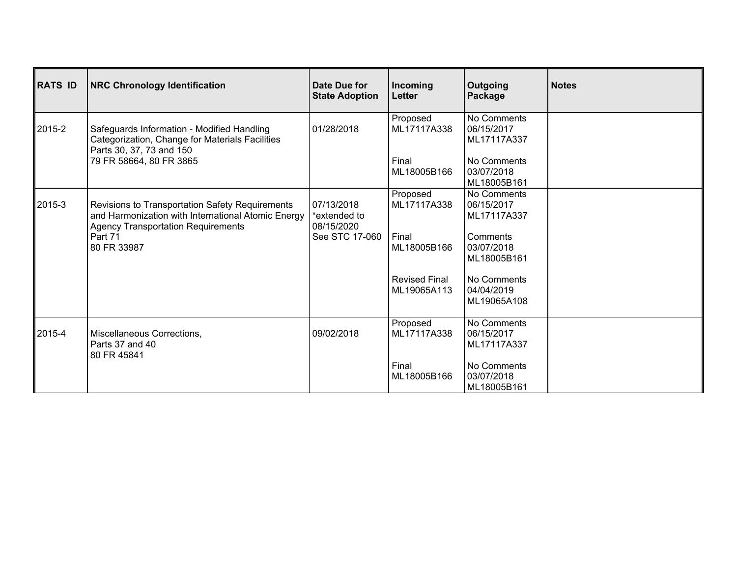| RATS ID | <b>NRC Chronology Identification</b>                                                                                                                                         | Date Due for<br><b>State Adoption</b>                      | Incoming<br>Letter                  | Outgoing<br>Package                      | <b>Notes</b> |
|---------|------------------------------------------------------------------------------------------------------------------------------------------------------------------------------|------------------------------------------------------------|-------------------------------------|------------------------------------------|--------------|
| ∥2015-2 | Safeguards Information - Modified Handling<br>Categorization, Change for Materials Facilities<br>Parts 30, 37, 73 and 150                                                    | 01/28/2018                                                 | Proposed<br>ML17117A338             | No Comments<br>06/15/2017<br>ML17117A337 |              |
|         | 79 FR 58664, 80 FR 3865                                                                                                                                                      |                                                            | Final<br>ML18005B166                | No Comments<br>03/07/2018<br>ML18005B161 |              |
| ∥2015-3 | Revisions to Transportation Safety Requirements<br>and Harmonization with International Atomic Energy<br><b>Agency Transportation Requirements</b><br>Part 71<br>80 FR 33987 | 07/13/2018<br>*extended to<br>08/15/2020<br>See STC 17-060 | Proposed<br>ML17117A338             | No Comments<br>06/15/2017<br>ML17117A337 |              |
|         |                                                                                                                                                                              |                                                            | Final<br>ML18005B166                | Comments<br>03/07/2018<br>ML18005B161    |              |
|         |                                                                                                                                                                              |                                                            | <b>Revised Final</b><br>ML19065A113 | No Comments<br>04/04/2019<br>ML19065A108 |              |
| 2015-4  | Miscellaneous Corrections,<br>Parts 37 and 40<br>80 FR 45841                                                                                                                 | 09/02/2018                                                 | Proposed<br>ML17117A338             | No Comments<br>06/15/2017<br>ML17117A337 |              |
|         |                                                                                                                                                                              |                                                            | Final<br>ML18005B166                | No Comments<br>03/07/2018<br>ML18005B161 |              |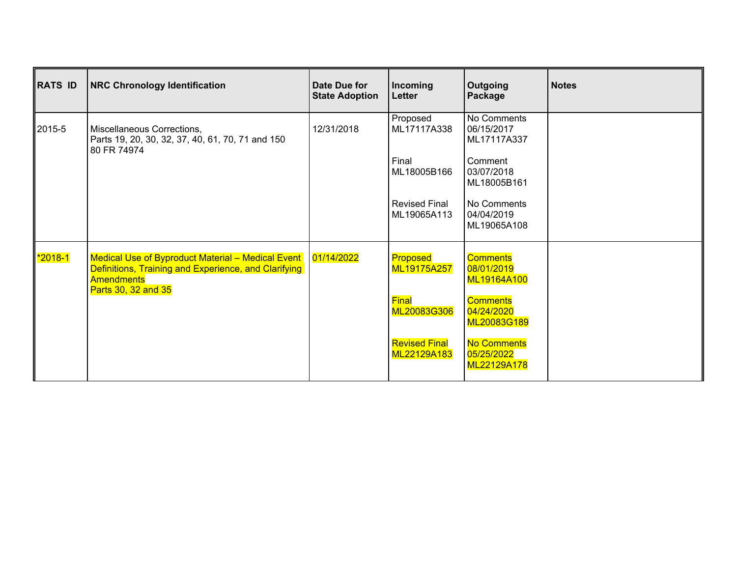| RATS ID                      | <b>NRC Chronology Identification</b>                                                                                                                               | Date Due for<br><b>State Adoption</b> | Incoming<br>Letter                                                      | Outgoing<br>Package                                                                             | <b>Notes</b> |
|------------------------------|--------------------------------------------------------------------------------------------------------------------------------------------------------------------|---------------------------------------|-------------------------------------------------------------------------|-------------------------------------------------------------------------------------------------|--------------|
| ∥2015-5                      | Miscellaneous Corrections,<br>Parts 19, 20, 30, 32, 37, 40, 61, 70, 71 and 150<br>80 FR 74974                                                                      | 12/31/2018                            | Proposed<br>ML17117A338<br>Final<br>ML18005B166<br><b>Revised Final</b> | No Comments<br>06/15/2017<br>ML17117A337<br>Comment<br>03/07/2018<br>ML18005B161<br>No Comments |              |
|                              |                                                                                                                                                                    |                                       | ML19065A113                                                             | 04/04/2019<br>ML19065A108                                                                       |              |
| <u> 1<mark>*2018</mark>-</u> | Medical Use of Byproduct Material - Medical Event   01/14/2022<br>Definitions, Training and Experience, and Clarifying<br><b>Amendments</b><br>Parts 30, 32 and 35 |                                       | Proposed<br>ML19175A257                                                 | <b>Comments</b><br>08/01/2019<br>ML19164A100                                                    |              |
|                              |                                                                                                                                                                    |                                       | Final<br>ML20083G306                                                    | <b>Comments</b><br>04/24/2020<br>ML20083G189                                                    |              |
|                              |                                                                                                                                                                    |                                       | <b>Revised Final</b><br>ML22129A183                                     | No Comments<br>05/25/2022<br>ML22129A178                                                        |              |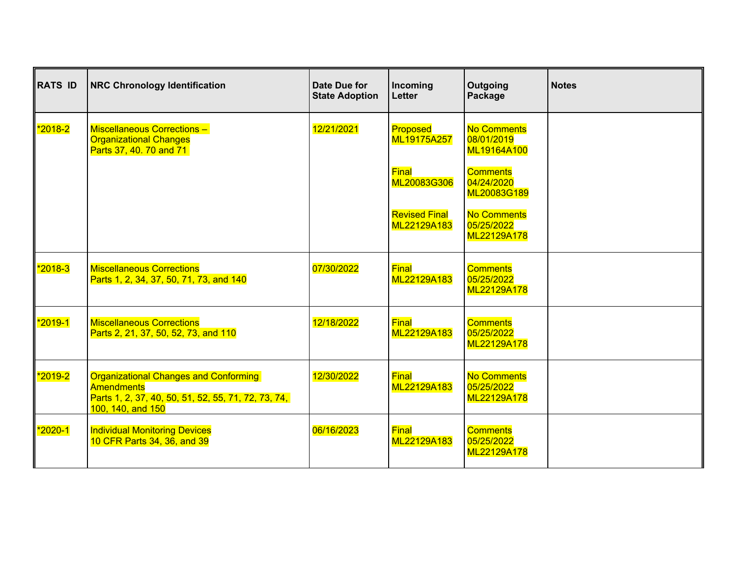| RATS ID         | <b>NRC Chronology Identification</b>                                                                                                          | Date Due for<br><b>State Adoption</b> | Incoming<br><b>Letter</b>           | Outgoing<br>Package                             | <b>Notes</b> |
|-----------------|-----------------------------------------------------------------------------------------------------------------------------------------------|---------------------------------------|-------------------------------------|-------------------------------------------------|--------------|
| <u>2018-2</u> " | Miscellaneous Corrections -<br><b>Organizational Changes</b><br>Parts 37, 40. 70 and 71                                                       | 12/21/2021                            | Proposed<br>ML19175A257             | <b>No Comments</b><br>08/01/2019<br>ML19164A100 |              |
|                 |                                                                                                                                               |                                       | Final<br>ML20083G306                | <b>Comments</b><br>04/24/2020<br>ML20083G189    |              |
|                 |                                                                                                                                               |                                       | <b>Revised Final</b><br>ML22129A183 | <b>No Comments</b><br>05/25/2022<br>ML22129A178 |              |
| <u>2018-3</u> " | <b>Miscellaneous Corrections</b><br>Parts 1, 2, 34, 37, 50, 71, 73, and 140                                                                   | 07/30/2022                            | Final<br>ML22129A183                | <b>Comments</b><br>05/25/2022<br>ML22129A178    |              |
|                 | <b>Miscellaneous Corrections</b><br>Parts 2, 21, 37, 50, 52, 73, and 110                                                                      | 12/18/2022                            | Final<br>ML22129A183                | <b>Comments</b><br>05/25/2022<br>ML22129A178    |              |
| <u>2019-2</u> " | <b>Organizational Changes and Conforming</b><br><b>Amendments</b><br>Parts 1, 2, 37, 40, 50, 51, 52, 55, 71, 72, 73, 74,<br>100, 140, and 150 | 12/30/2022                            | Final<br>ML22129A183                | <b>No Comments</b><br>05/25/2022<br>ML22129A178 |              |
| <u>2020-1  </u> | <b>Individual Monitoring Devices</b><br>10 CFR Parts 34, 36, and 39                                                                           | 06/16/2023                            | Final<br>ML22129A183                | <b>Comments</b><br>05/25/2022<br>ML22129A178    |              |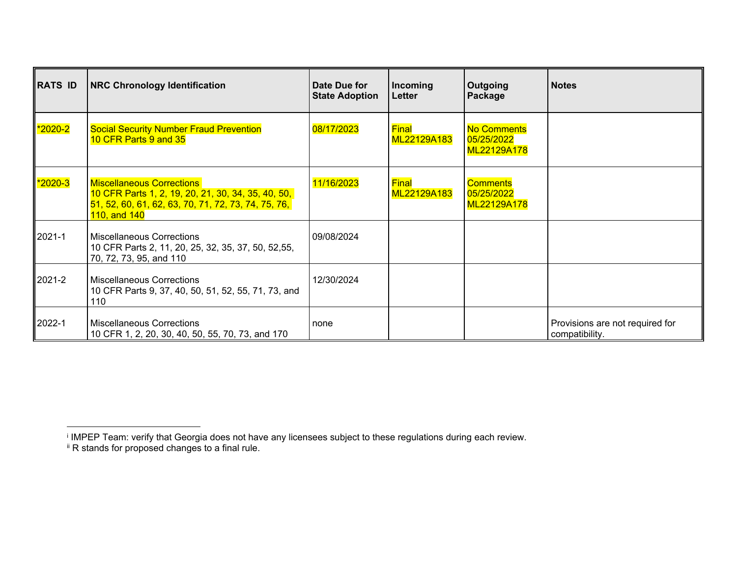| RATS ID | <b>NRC Chronology Identification</b>                                                                                                                          | Date Due for<br><b>State Adoption</b> | Incoming<br>Letter   | Outgoing<br>Package                             | <b>Notes</b>                                      |
|---------|---------------------------------------------------------------------------------------------------------------------------------------------------------------|---------------------------------------|----------------------|-------------------------------------------------|---------------------------------------------------|
| *2020-2 | <b>Social Security Number Fraud Prevention</b><br>10 CFR Parts 9 and 35                                                                                       | 08/17/2023                            | Final<br>ML22129A183 | <b>No Comments</b><br>05/25/2022<br>ML22129A178 |                                                   |
| *2020-3 | <b>Miscellaneous Corrections</b><br>10 CFR Parts 1, 2, 19, 20, 21, 30, 34, 35, 40, 50,<br>51, 52, 60, 61, 62, 63, 70, 71, 72, 73, 74, 75, 76,<br>110, and 140 | 11/16/2023                            | Final<br>ML22129A183 | Comments<br>05/25/2022<br>ML22129A178           |                                                   |
| 2021-1  | <b>Miscellaneous Corrections</b><br>10 CFR Parts 2, 11, 20, 25, 32, 35, 37, 50, 52, 55,<br>70, 72, 73, 95, and 110                                            | 09/08/2024                            |                      |                                                 |                                                   |
| 2021-2  | <b>Miscellaneous Corrections</b><br>10 CFR Parts 9, 37, 40, 50, 51, 52, 55, 71, 73, and<br>110                                                                | 12/30/2024                            |                      |                                                 |                                                   |
| 2022-1  | <b>Miscellaneous Corrections</b><br>10 CFR 1, 2, 20, 30, 40, 50, 55, 70, 73, and 170                                                                          | none                                  |                      |                                                 | Provisions are not required for<br>compatibility. |

i IMPEP Team: verify that Georgia does not have any licensees subject to these regulations during each review.

<sup>&</sup>lt;sup>ii</sup> R stands for proposed changes to a final rule.